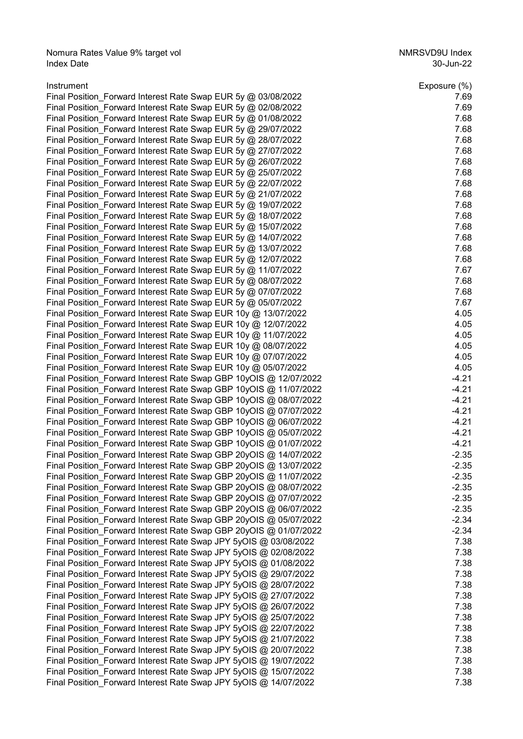Nomura Rates Value 9% target vol NMRSVD9U Index Index Date 30-Jun-22

| Instrument                                                        | Exposure (%) |
|-------------------------------------------------------------------|--------------|
| Final Position_Forward Interest Rate Swap EUR 5y @ 03/08/2022     | 7.69         |
| Final Position_Forward Interest Rate Swap EUR 5y @ 02/08/2022     | 7.69         |
| Final Position_Forward Interest Rate Swap EUR 5y @ 01/08/2022     | 7.68         |
| Final Position Forward Interest Rate Swap EUR 5y @ 29/07/2022     | 7.68         |
| Final Position_Forward Interest Rate Swap EUR 5y @ 28/07/2022     | 7.68         |
| Final Position_Forward Interest Rate Swap EUR 5y @ 27/07/2022     | 7.68         |
| Final Position_Forward Interest Rate Swap EUR 5y @ 26/07/2022     | 7.68         |
| Final Position_Forward Interest Rate Swap EUR 5y @ 25/07/2022     | 7.68         |
| Final Position Forward Interest Rate Swap EUR 5y @ 22/07/2022     | 7.68         |
| Final Position_Forward Interest Rate Swap EUR 5y @ 21/07/2022     | 7.68         |
| Final Position_Forward Interest Rate Swap EUR 5y @ 19/07/2022     | 7.68         |
| Final Position_Forward Interest Rate Swap EUR 5y @ 18/07/2022     | 7.68         |
|                                                                   |              |
| Final Position Forward Interest Rate Swap EUR 5y @ 15/07/2022     | 7.68         |
| Final Position Forward Interest Rate Swap EUR 5y @ 14/07/2022     | 7.68         |
| Final Position_Forward Interest Rate Swap EUR 5y @ 13/07/2022     | 7.68         |
| Final Position Forward Interest Rate Swap EUR 5y @ 12/07/2022     | 7.68         |
| Final Position Forward Interest Rate Swap EUR 5y @ 11/07/2022     | 7.67         |
| Final Position_Forward Interest Rate Swap EUR 5y @ 08/07/2022     | 7.68         |
| Final Position Forward Interest Rate Swap EUR 5y @ 07/07/2022     | 7.68         |
| Final Position_Forward Interest Rate Swap EUR 5y @ 05/07/2022     | 7.67         |
| Final Position_Forward Interest Rate Swap EUR 10y @ 13/07/2022    | 4.05         |
| Final Position_Forward Interest Rate Swap EUR 10y @ 12/07/2022    | 4.05         |
| Final Position_Forward Interest Rate Swap EUR 10y @ 11/07/2022    | 4.05         |
| Final Position_Forward Interest Rate Swap EUR 10y @ 08/07/2022    | 4.05         |
| Final Position_Forward Interest Rate Swap EUR 10y @ 07/07/2022    | 4.05         |
| Final Position_Forward Interest Rate Swap EUR 10y @ 05/07/2022    | 4.05         |
| Final Position Forward Interest Rate Swap GBP 10yOIS @ 12/07/2022 | $-4.21$      |
| Final Position Forward Interest Rate Swap GBP 10yOIS @ 11/07/2022 | $-4.21$      |
| Final Position Forward Interest Rate Swap GBP 10yOIS @ 08/07/2022 | $-4.21$      |
| Final Position Forward Interest Rate Swap GBP 10yOIS @ 07/07/2022 | $-4.21$      |
| Final Position_Forward Interest Rate Swap GBP 10yOIS @ 06/07/2022 | $-4.21$      |
| Final Position_Forward Interest Rate Swap GBP 10yOIS @ 05/07/2022 | $-4.21$      |
| Final Position_Forward Interest Rate Swap GBP 10yOIS @ 01/07/2022 | $-4.21$      |
| Final Position Forward Interest Rate Swap GBP 20yOIS @ 14/07/2022 | $-2.35$      |
|                                                                   | $-2.35$      |
| Final Position_Forward Interest Rate Swap GBP 20yOIS @ 13/07/2022 |              |
| Final Position_Forward Interest Rate Swap GBP 20yOIS @ 11/07/2022 | $-2.35$      |
| Final Position_Forward Interest Rate Swap GBP 20yOIS @ 08/07/2022 | $-2.35$      |
| Final Position_Forward Interest Rate Swap GBP 20yOIS @ 07/07/2022 | $-2.35$      |
| Final Position Forward Interest Rate Swap GBP 20yOIS @ 06/07/2022 | $-2.35$      |
| Final Position Forward Interest Rate Swap GBP 20yOIS @ 05/07/2022 | $-2.34$      |
| Final Position_Forward Interest Rate Swap GBP 20yOIS @ 01/07/2022 | $-2.34$      |
| Final Position Forward Interest Rate Swap JPY 5yOIS @ 03/08/2022  | 7.38         |
| Final Position_Forward Interest Rate Swap JPY 5yOIS @ 02/08/2022  | 7.38         |
| Final Position_Forward Interest Rate Swap JPY 5yOIS @ 01/08/2022  | 7.38         |
| Final Position Forward Interest Rate Swap JPY 5yOIS @ 29/07/2022  | 7.38         |
| Final Position_Forward Interest Rate Swap JPY 5yOIS @ 28/07/2022  | 7.38         |
| Final Position_Forward Interest Rate Swap JPY 5yOIS @ 27/07/2022  | 7.38         |
| Final Position_Forward Interest Rate Swap JPY 5yOIS @ 26/07/2022  | 7.38         |
| Final Position_Forward Interest Rate Swap JPY 5yOIS @ 25/07/2022  | 7.38         |
| Final Position_Forward Interest Rate Swap JPY 5yOIS @ 22/07/2022  | 7.38         |
| Final Position_Forward Interest Rate Swap JPY 5yOIS @ 21/07/2022  | 7.38         |
| Final Position_Forward Interest Rate Swap JPY 5yOIS @ 20/07/2022  | 7.38         |
| Final Position_Forward Interest Rate Swap JPY 5yOIS @ 19/07/2022  | 7.38         |
| Final Position_Forward Interest Rate Swap JPY 5yOIS @ 15/07/2022  | 7.38         |
|                                                                   |              |
| Final Position_Forward Interest Rate Swap JPY 5yOIS @ 14/07/2022  | 7.38         |